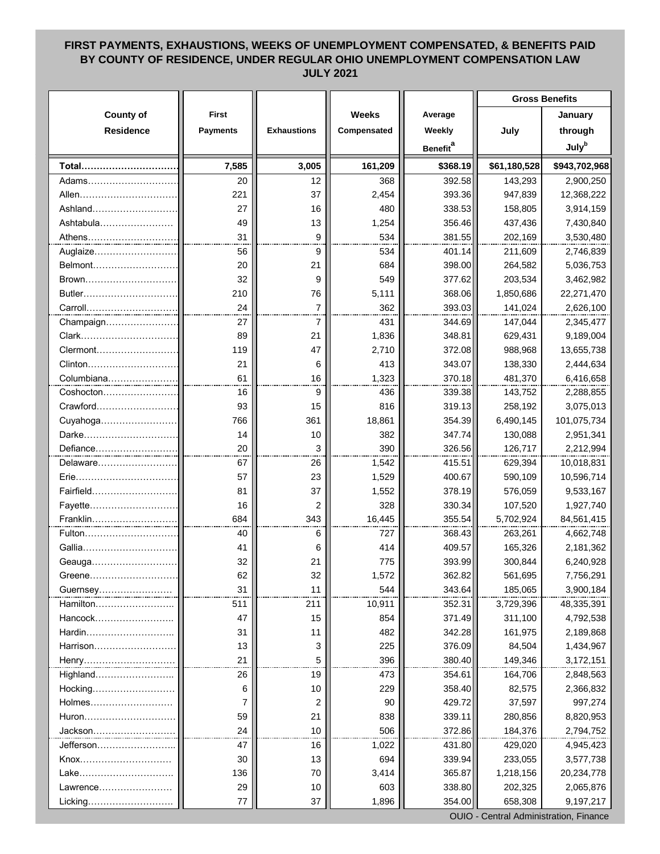## **FIRST PAYMENTS, EXHAUSTIONS, WEEKS OF UNEMPLOYMENT COMPENSATED, & BENEFITS PAID BY COUNTY OF RESIDENCE, UNDER REGULAR OHIO UNEMPLOYMENT COMPENSATION LAW JULY 2021**

|                            |                 |                    |              |                             | <b>Gross Benefits</b> |                          |
|----------------------------|-----------------|--------------------|--------------|-----------------------------|-----------------------|--------------------------|
| <b>County of</b>           | <b>First</b>    |                    | Weeks        | Average                     |                       | January                  |
| <b>Residence</b>           | <b>Payments</b> | <b>Exhaustions</b> | Compensated  | Weekly                      | July                  | through                  |
|                            |                 |                    |              | <b>Benefit</b> <sup>a</sup> |                       | <b>July</b> <sup>b</sup> |
| Total                      | 7,585           | 3,005              | 161,209      | \$368.19                    | \$61,180,528          | \$943,702,968            |
|                            | 20              | 12                 | 368          | 392.58                      |                       |                          |
| Adams…………………………            | 221             | 37                 | 2,454        | 393.36                      | 143,293<br>947,839    | 2,900,250                |
| Allen…………………………<br>Ashland | 27              | 16                 | 480          | 338.53                      |                       | 12,368,222<br>3,914,159  |
| Ashtabula                  | 49              | 13                 |              | 356.46                      | 158,805<br>437,436    | 7,430,840                |
|                            | 31              | 9                  | 1,254<br>534 |                             |                       |                          |
| Athens<br>Auglaize         | 56              | 9                  | 534          | 381.55<br>401.14            | 202,169<br>211,609    | 3,530,480<br>2,746,839   |
| Belmont                    | 20              | 21                 | 684          | 398.00                      | 264,582               | 5,036,753                |
| Brown                      | 32              | 9                  | 549          | 377.62                      | 203,534               | 3,462,982                |
| Butler                     | 210             | 76                 | 5,111        | 368.06                      | 1,850,686             | 22,271,470               |
| Carroll                    | 24              | $\overline{7}$     | 362          | 393.03                      | 141,024               | 2,626,100                |
|                            | 27              | 7                  | 431          | 344.69                      |                       |                          |
| Champaign                  |                 |                    |              |                             | 147,044               | 2,345,477                |
| Clark<br>Clermont          | 89              | 21<br>47           | 1,836        | 348.81                      | 629,431               | 9,189,004                |
|                            | 119             |                    | 2,710<br>413 | 372.08                      | 988,968               | 13,655,738               |
| Clinton                    | 21<br>61        | 6<br>16            | 1,323        | 343.07<br>370.18            | 138,330               | 2,444,634                |
| Coshocton                  | 16              | 9                  | 436          | 339.38                      | 481,370<br>143,752    | 6,416,658<br>2,288,855   |
| Crawford                   | 93              | 15                 | 816          | 319.13                      |                       |                          |
|                            | 766             | 361                |              | 354.39                      | 258,192<br>6,490,145  | 3,075,013<br>101,075,734 |
| Cuyahoga                   |                 |                    | 18,861       |                             |                       |                          |
| Darke                      | 14<br>20        | 10<br>3            | 382<br>390   | 347.74                      | 130,088               | 2,951,341                |
| Defiance                   |                 |                    |              | 326.56                      | 126,717               | 2,212,994                |
| Delaware                   | 67              | 26                 | 1,542        | 415.51                      | 629,394               | 10,018,831               |
| Erie                       | 57              | 23<br>37           | 1,529        | 400.67                      | 590,109               | 10,596,714               |
| Fairfield                  | 81<br>16        |                    | 1,552<br>328 | 378.19<br>330.34            | 576,059               | 9,533,167                |
| Fayette                    | 684             | 2<br>343           | 16,445       | 355.54                      | 107,520               | 1,927,740                |
| Franklin<br>Fulton         | 40              |                    | 727          | 368.43                      | 5,702,924<br>263,261  | 84,561,415<br>4,662,748  |
| Gallia                     | 41              | 6<br>6             | 414          | 409.57                      | 165,326               | 2,181,362                |
|                            | 32              | 21                 | 775          | 393.99                      | 300,844               | 6,240,928                |
| Geauga                     |                 |                    |              |                             |                       |                          |
| Greene<br>Guernsey         | 62<br>31        | 32<br>11           | 1,572<br>544 | 362.82<br>343.64            | 561,695<br>185,065    | 7,756,291<br>3,900,184   |
| Hamilton                   | 511             | 211                | 10,911       | 352.31                      | 3,729,396             | 48,335,391               |
| Hancock                    | 47              | 15                 | 854          | 371.49                      | 311,100               | 4,792,538                |
| Hardin                     | 31              | 11                 | 482          | 342.28                      | 161,975               | 2,189,868                |
| Harrison                   | 13              | 3                  | 225          | 376.09                      | 84,504                | 1,434,967                |
|                            | 21              | 5                  | 396          | 380.40                      | 149,346               |                          |
| Henry<br>Highland          | 26              | 19                 | 473          | 354.61                      | 164,706               | 3,172,151                |
| Hocking                    | 6               | 10                 | 229          | 358.40                      | 82,575                | 2,848,563<br>2,366,832   |
| Holmes                     |                 |                    |              | 429.72                      |                       |                          |
| Huron                      | 7<br>59         | 2<br>21            | 90<br>838    | 339.11                      | 37,597<br>280,856     | 997,274<br>8,820,953     |
|                            | 24              | 10                 |              |                             | 184,376               |                          |
| Jackson……………               |                 |                    | 506          | 372.86                      |                       | 2,794,752                |
| Jefferson………………            | 47              | 16                 | 1,022        | 431.80                      | 429,020               | 4,945,423                |
| Knox<br>Lake               | 30<br>136       | 13                 | 694          | 339.94<br>365.87            | 233,055               | 3,577,738                |
|                            |                 | 70                 | 3,414        |                             | 1,218,156             | 20,234,778               |
| Lawrence                   | 29              | 10                 | 603          | 338.80                      | 202,325               | 2,065,876                |
| Licking                    | 77              | 37                 | 1,896        | 354.00                      | 658,308               | 9,197,217                |

OUIO - Central Administration, Finance